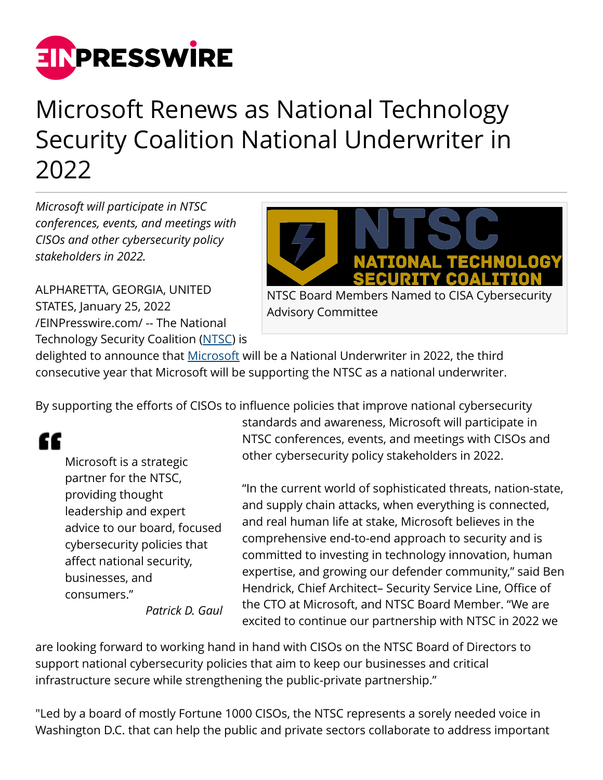

## Microsoft Renews as National Technology Security Coalition National Underwriter in 2022

*Microsoft will participate in NTSC conferences, events, and meetings with CISOs and other cybersecurity policy stakeholders in 2022.*

ALPHARETTA, GEORGIA, UNITED STATES, January 25, 2022 [/EINPresswire.com/](http://www.einpresswire.com) -- The National Technology Security Coalition ([NTSC\)](http://www.ntsc.org) is



Advisory Committee

delighted to announce that **[Microsoft](http://www.microsoft.com)** will be a National Underwriter in 2022, the third consecutive year that Microsoft will be supporting the NTSC as a national underwriter.

By supporting the efforts of CISOs to influence policies that improve national cybersecurity

## "

Microsoft is a strategic partner for the NTSC, providing thought leadership and expert advice to our board, focused cybersecurity policies that affect national security, businesses, and consumers."

standards and awareness, Microsoft will participate in NTSC conferences, events, and meetings with CISOs and other cybersecurity policy stakeholders in 2022.

"In the current world of sophisticated threats, nation-state, and supply chain attacks, when everything is connected, and real human life at stake, Microsoft believes in the comprehensive end-to-end approach to security and is committed to investing in technology innovation, human expertise, and growing our defender community," said Ben Hendrick, Chief Architect– Security Service Line, Office of the CTO at Microsoft, and NTSC Board Member. "We are excited to continue our partnership with NTSC in 2022 we

*Patrick D. Gaul*

are looking forward to working hand in hand with CISOs on the NTSC Board of Directors to support national cybersecurity policies that aim to keep our businesses and critical infrastructure secure while strengthening the public-private partnership."

"Led by a board of mostly Fortune 1000 CISOs, the NTSC represents a sorely needed voice in Washington D.C. that can help the public and private sectors collaborate to address important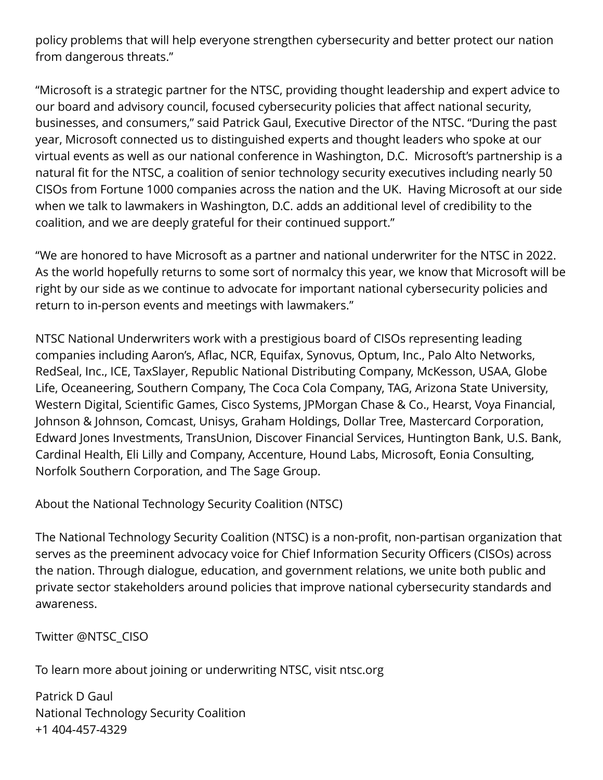policy problems that will help everyone strengthen cybersecurity and better protect our nation from dangerous threats."

"Microsoft is a strategic partner for the NTSC, providing thought leadership and expert advice to our board and advisory council, focused cybersecurity policies that affect national security, businesses, and consumers," said Patrick Gaul, Executive Director of the NTSC. "During the past year, Microsoft connected us to distinguished experts and thought leaders who spoke at our virtual events as well as our national conference in Washington, D.C. Microsoft's partnership is a natural fit for the NTSC, a coalition of senior technology security executives including nearly 50 CISOs from Fortune 1000 companies across the nation and the UK. Having Microsoft at our side when we talk to lawmakers in Washington, D.C. adds an additional level of credibility to the coalition, and we are deeply grateful for their continued support."

"We are honored to have Microsoft as a partner and national underwriter for the NTSC in 2022. As the world hopefully returns to some sort of normalcy this year, we know that Microsoft will be right by our side as we continue to advocate for important national cybersecurity policies and return to in-person events and meetings with lawmakers."

NTSC National Underwriters work with a prestigious board of CISOs representing leading companies including Aaron's, Aflac, NCR, Equifax, Synovus, Optum, Inc., Palo Alto Networks, RedSeal, Inc., ICE, TaxSlayer, Republic National Distributing Company, McKesson, USAA, Globe Life, Oceaneering, Southern Company, The Coca Cola Company, TAG, Arizona State University, Western Digital, Scientific Games, Cisco Systems, JPMorgan Chase & Co., Hearst, Voya Financial, Johnson & Johnson, Comcast, Unisys, Graham Holdings, Dollar Tree, Mastercard Corporation, Edward Jones Investments, TransUnion, Discover Financial Services, Huntington Bank, U.S. Bank, Cardinal Health, Eli Lilly and Company, Accenture, Hound Labs, Microsoft, Eonia Consulting, Norfolk Southern Corporation, and The Sage Group.

About the National Technology Security Coalition (NTSC)

The National Technology Security Coalition (NTSC) is a non-profit, non-partisan organization that serves as the preeminent advocacy voice for Chief Information Security Officers (CISOs) across the nation. Through dialogue, education, and government relations, we unite both public and private sector stakeholders around policies that improve national cybersecurity standards and awareness.

Twitter @NTSC\_CISO

To learn more about joining or underwriting NTSC, visit ntsc.org

Patrick D Gaul National Technology Security Coalition +1 404-457-4329